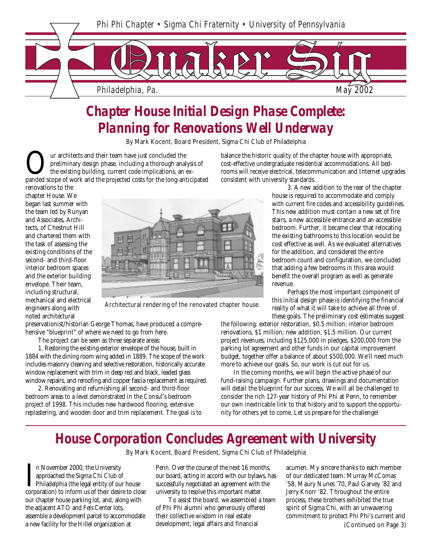

## *Chapter House Initial Design Phase Complete: Planning for Renovations Well Underway*

By Mark Kocent, Board President, Sigma Chi Club of Philadelphia

Our architects and their team have just concluded the<br>preliminary design phase, including a thorough analysis of<br>panded scope of work and the projected costs for the long-anticipated<br>participated preliminary design phase, including a thorough analysis of the existing building, current code implications, an exbalance the historic quality of the chapter house with appropriate, cost-effective undergraduate residential accommodations. All bedrooms will receive electrical, telecommunication and Internet upgrades consistent with university standards.

renovations to the chapter House. We began last summer with the team led by Runyan and Associates, Architects, of Chestnut Hill and chartered them with the task of assessing the existing conditions of the second- and third-floor interior bedroom spaces and the exterior building envelope. Their team, including structural, mechanical and electrical engineers along with noted architectural



Architectural rendering of the renovated chapter house.

preservationist/historian George Thomas, have produced a comprehensive "blueprint" of where we need to go from here.

The project can be seen as three separate areas:

1. Restoring the existing exterior envelope of the house, built in 1884 with the dining room wing added in 1889. The scope of the work includes masonry cleaning and selective restoration, historically accurate window replacement with trim in deep red and black, leaded glass window repairs, and reroofing and copper fascia replacement as required.

2. Renovating and refurnishing all second- and third-floor bedroom areas to a level demonstrated in the Consul's bedroom project of 1998. This includes new hardwood flooring, extensive replastering, and wooden door and trim replacement. The goal is to

 3. A new addition to the rear of the chapter house is required to accommodate and comply with current fire codes and accessibility guidelines. This new addition must contain a new set of fire stairs, a new accessible entrance and an accessible bedroom. Further, it became clear that relocating the existing bathrooms to this location would be cost effective as well. As we evaluated alternatives for the addition, and considered the entire bedroom count and configuration, we concluded that adding a few bedrooms in this area would benefit the overall program as well as generate revenue.

 Perhaps the most important component of this initial design phase is identifying the financial reality of what it will take to achieve all three of these goals. The preliminary cost estimates suggest

the following: exterior restoration, \$0.5 million; interior bedroom renovations, \$1 million; new addition, \$1.5 million. Our current project revenues, including \$125,000 in pledges, \$200,000 from the parking lot agreement and other funds in our capital improvement budget, together offer a balance of about \$500,000. We'll need much more to achieve our goals. So, our work is cut out for us.

In the coming months, we will begin the active phase of our fund-raising campaign. Further plans, drawings and documentation will detail the blueprint for our success. We will all be challenged to consider the rich 127-year history of Phi Phi at Penn, to remember our own inextricable link to that history and to support the opportunity for others yet to come. Let us prepare for the challenge!

### *House Corporation Concludes Agreement with University*

By Mark Kocent, Board President, Sigma Chi Club of Philadelphia

In November 2000, the University<br>approached the Sigma Chi Club of<br>Philadelphia (the legal entity of our house<br>corporation) to inform us of their desire to close n November 2000, the University approached the Sigma Chi Club of Philadelphia (the legal entity of our house our chapter house parking lot, and, along with the adjacent ATO and Fels Center lots, assemble a development parcel to accommodate a new facility for the Hillel organization at

Penn. Over the course of the next 16 months, our board, acting in accord with our bylaws, has successfully negotiated an agreement with the university to resolve this important matter.

To assist the board, we assembled a team of Phi Phi alumni who generously offered their collective wisdom in real estate development, legal affairs and financial

 $\mathcal{L}_{\text{max}}$  signal  $\mathcal{L}_{\text{max}}$  signal  $\mathcal{L}_{\text{max}}$  signal  $\mathcal{L}_{\text{max}}$ 

acumen. My sincere thanks to each member of our dedicated team: Murray McComas '58, Maury Nunes '70, Paul Garvey '82 and Jerry Knorr '82. Throughout the entire process, these brothers exhibited the true spirit of Sigma Chi, with an unwavering commitment to protect Phi Phi's current and (Continued on Page 3)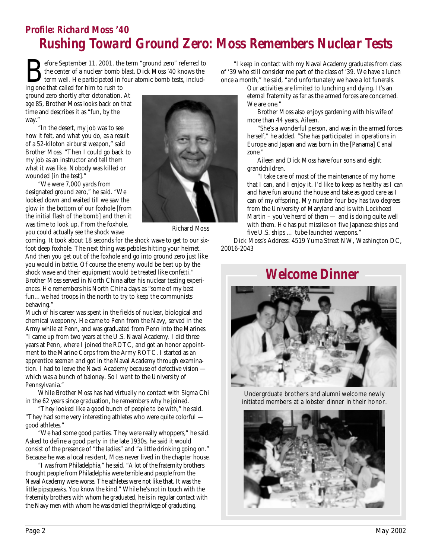### *Profile: Richard Moss '40 Rushing Toward Ground Zero: Moss Remembers Nuclear Tests*

Before September 11, 2001, the term "ground zero" referred to<br>the center of a nuclear bomb blast. Dick Moss '40 knows the<br>term well. He participated in four atomic bomb tests, includ-<br>ing one that called for him to rush to the center of a nuclear bomb blast. Dick Moss '40 knows the term well. He participated in four atomic bomb tests, includ-

ing one that called for him to rush to ground zero shortly after detonation. At age 85, Brother Moss looks back on that time and describes it as "fun, by the way."

"In the desert, my job was to see how it felt, and what you do, as a result of a 52-kiloton airburst weapon," said Brother Moss. "Then I could go back to my job as an instructor and tell them what it was like. Nobody was killed or wounded [in the test]."

"We were 7,000 yards from designated ground zero," he said. "We looked down and waited till we saw the glow in the bottom of our foxhole [from the initial flash of the bomb] and then it was time to look up. From the foxhole, you could actually see the shock wave



Richard Moss

coming. It took about 18 seconds for the shock wave to get to our sixfoot deep foxhole. The next thing was pebbles hitting your helmet. And then you get out of the foxhole and go into ground zero just like you would in battle. Of course the enemy would be beat up by the shock wave and their equipment would be treated like confetti." Brother Moss served in North China after his nuclear testing experiences. He remembers his North China days as "some of my best fun…we had troops in the north to try to keep the communists behaving."

Much of his career was spent in the fields of nuclear, biological and chemical weaponry. He came to Penn from the Navy, served in the Army while at Penn, and was graduated from Penn into the Marines. "I came up from two years at the U.S. Naval Academy. I did three years at Penn, where I joined the ROTC, and got an honor appointment to the Marine Corps from the Army ROTC. I started as an apprentice seaman and got in the Naval Academy through examination. I had to leave the Naval Academy because of defective vision which was a bunch of baloney. So I went to the University of Pennsylvania."

While Brother Moss has had virtually no contact with Sigma Chi in the 62 years since graduation, he remembers why he joined.

"They looked like a good bunch of people to be with," he said. "They had some very interesting athletes who were quite colorful good athletes."

"We had some good parties. They were really whoppers," he said. Asked to define a good party in the late 1930s, he said it would consist of the presence of "the ladies" and "a little drinking going on." Because he was a local resident, Moss never lived in the chapter house.

"I was from Philadelphia," he said. "A lot of the fraternity brothers thought people from Philadelphia were terrible and people from the Naval Academy were worse. The athletes were not like that. It was the little pipsqueaks. You know the kind." While he's not in touch with the fraternity brothers with whom he graduated, he is in regular contact with the Navy men with whom he was denied the privilege of graduating.

"I keep in contact with my Naval Academy graduates from class of '39 who still consider me part of the class of '39. We have a lunch once a month," he said, "and unfortunately we have a lot funerals.

> Our activities are limited to lunching and dying. It's an eternal fraternity as far as the armed forces are concerned. We are one."

 Brother Moss also enjoys gardening with his wife of more than 44 years, Aileen.

 "She's a wonderful person, and was in the armed forces herself," he added. "She has participated in operations in Europe and Japan and was born in the [Panama] Canal zone.'

 Aileen and Dick Moss have four sons and eight grandchildren.

 "I take care of most of the maintenance of my home that I can, and I enjoy it. I'd like to keep as healthy as I can and have fun around the house and take as good care as I can of my offspring. My number four boy has two degrees from the University of Maryland and is with Lockheed Martin – you've heard of them — and is doing quite well with them. He has put missiles on five Japanese ships and five U.S. ships … tube-launched weapons."

Dick Moss's Address: 4519 Yuma Street NW, Washington DC, 20016-2043

#### *Welcome Dinner*



Undergrduate brothers and alumni welcome newly initiated members at a lobster dinner in their honor.

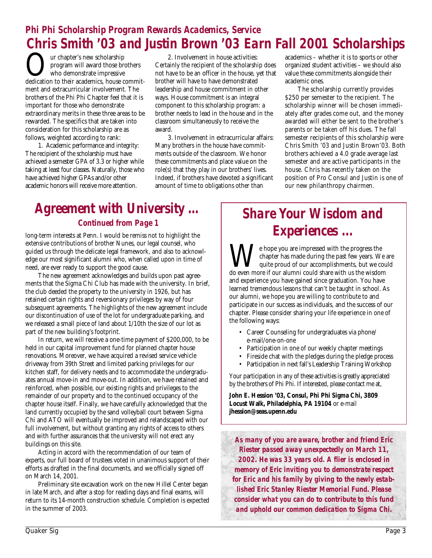### *Phi Phi Scholarship Program Rewards Academics, Service Chris Smith '03 and Justin Brown '03 Earn Fall 2001 Scholarships*

Our chapter's new scholarship dedication to their academics, house commitprogram will award those brothers who demonstrate impressive ment and extracurricular involvement. The brothers of the Phi Phi Chapter feel that it is important for those who demonstrate extraordinary merits in these three areas to be rewarded. The specifics that are taken into consideration for this scholarship are as follows, weighted according to rank:

1. Academic performance and integrity: The recipient of the scholarship must have achieved a semester GPA of 3.3 or higher while taking at least four classes. Naturally, those who have achieved higher GPAs and/or other academic honors will receive more attention.

2. Involvement in house activities: Certainly the recipient of the scholarship does not have to be an officer in the house, yet that brother will have to have demonstrated leadership and house commitment in other ways. House commitment is an integral component to this scholarship program: a brother needs to lead in the house and in the classroom simultaneously to receive the award.

3. Involvement in extracurricular affairs: Many brothers in the house have commitments outside of the classroom. We honor these commitments and place value on the role(s) that they play in our brothers' lives. Indeed, if brothers have devoted a significant amount of time to obligations other than

academics – whether it is to sports or other organized student activities – we should also value these commitments alongside their academic ones.

The scholarship currently provides \$250 per semester to the recipient. The scholarship winner will be chosen immediately after grades come out, and the money awarded will either be sent to the brother's parents or be taken off his dues. The fall semester recipients of this scholarship were Chris Smith '03 and Justin Brown'03. Both brothers achieved a 4.0 grade average last semester and are active participants in the house. Chris has recently taken on the position of Pro Consul and Justin is one of our new philanthropy chairmen.

#### *Agreement with University … Continued from Page 1*

long-term interests at Penn. I would be remiss not to highlight the extensive contributions of brother Nunes, our legal counsel, who guided us through the delicate legal framework, and also to acknowledge our most significant alumni who, when called upon in time of need, are ever ready to support the good cause.

The new agreement acknowledges and builds upon past agreements that the Sigma Chi Club has made with the university. In brief, the club deeded the property to the university in 1926, but has retained certain rights and reversionary privileges by way of four subsequent agreements. The highlights of the new agreement include our discontinuation of use of the lot for undergraduate parking, and we released a small piece of land about 1/10th the size of our lot as part of the new building's footprint.

In return, we will receive a one-time payment of \$200,000, to be held in our capital improvement fund for planned chapter house renovations. Moreover, we have acquired a revised service vehicle driveway from 39th Street and limited parking privileges for our kitchen staff, for delivery needs and to accommodate the undergraduates annual move-in and move-out. In addition, we have retained and reinforced, when possible, our existing rights and privileges to the remainder of our property and to the continued occupancy of the chapter house itself. Finally, we have carefully acknowledged that the land currently occupied by the sand volleyball court between Sigma Chi and ATO will eventually be improved and relandscaped with our full involvement, but without granting any rights of access to others and with further assurances that the university will not erect any buildings on this site.

Acting in accord with the recommendation of our team of experts, our full board of trustees voted in unanimous support of their efforts as drafted in the final documents, and we officially signed off on March 14, 2001.

Preliminary site excavation work on the new Hillel Center began in late March, and after a stop for reading days and final exams, will return to its 14-month construction schedule. Completion is expected in the summer of 2003.

## *Share Your Wisdom and Experiences ...*

We hope you are impressed with the progress the chapter has made during the past few years. We quite proud of our accomplishments, but we could even more if our alumni could share with us the wisdom chapter has made during the past few years. We are quite proud of our accomplishments, but we could and experience you have gained since graduation. You have learned tremendous lessons that can't be taught in school. As our alumni, we hope you are willing to contribute to and participate in our success as individuals, and the success of our chapter. Please consider sharing your life experience in one of the following ways:

- Career Counseling for undergraduates via phone/ e-mail/one-on-one
- Participation in one of our weekly chapter meetings
- Fireside chat with the pledges during the pledge process
- Participation in next fall's Leadership Training Workshop

Your participation in any of these activities is greatly appreciated by the brothers of Phi Phi. If interested, please contact me at,

**John E. Hession '03, Consul, Phi Phi Sigma Chi, 3809 Locust Walk, Philadelphia, PA 19104** or e-mail **jhession@seas.upenn.edu**

*As many of you are aware, brother and friend Eric Riester passed away unexpectedly on March 11, 2002. He was 33 years old. A flier is enclosed in memory of Eric inviting you to demonstrate respect for Eric and his family by giving to the newly established Eric Stanley Riester Memorial Fund. Please consider what you can do to contribute to this fund and uphold our common dedication to Sigma Chi.*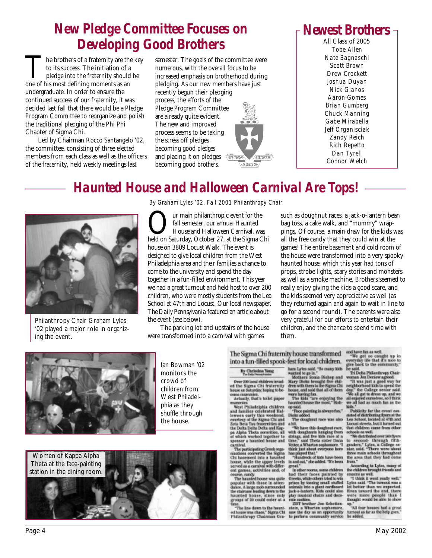## *New Pledge Committee Focuses on Developing Good Brothers*

The brothers of a fraternity are the key to its success. The initiation of a pledge into the fraternity should be one of his most defining moments as an undergraduate. In order to ensure the continued success of our fraternity, it was decided last fall that there would be a Pledge Program Committee to reorganize and polish the traditional pledging of the Phi Phi Chapter of Sigma Chi.

Led by Chairman Rocco Santangelo '02, the committee, consisting of three elected members from each class as well as the officers of the fraternity, held weekly meetings last

semester. The goals of the committee were numerous, with the overall focus to be increased emphasis on brotherhood during pledging. As our new members have just recently begun their pledging process, the efforts of the Pledge Program Committee are already quite evident. The new and improved process seems to be taking the stress off pledges becoming good *pledges* and placing it on pledges  $\sqrt{m \cdot n}$ ge becoming good *brothers*.



### *Newest Brothers*

*Tobe Allen Nate Bagnaschi Scott Brown Drew Crockett Joshua Duyan Nick Gianos Aaron Gomes Brian Gumberg Chuck Manning Gabe Mirabella Jeff Organisciak Zandy Reich Rich Repetto Dan Tyrell Connor Welch* All Class of 2005

## *Haunted House and Halloween Carnival Are Tops!*



Philanthropy Chair Graham Lyles '02 played a major role in organizing the event.

*By Graham Lyles '02, Fall 2001 Philanthropy Chair*

**OUR** IVE THE MINIMUM CONDUCTOR THE MINIMUM HAUNTED HOUSE AND HOUSE AND HOLD ON SAturday, October 27, at the Sigma Chi fall semester, our annual Haunted House and Halloween Carnival, was house on 3809 Locust Walk. The event is designed to give local children from the West Philadelphia area and their families a chance to come to the university and spend the day together in a fun-filled environment. This year we had a great turnout and held host to over 200 children, who were mostly students from the Lea School at 47th and Locust. Our local newspaper, *The Daily Pennsylvania* featured an article about the event (see below).

The parking lot and upstairs of the house were transformed into a carnival with games

such as doughnut races, a jack-o-lantern bean bag toss, a cake walk, and "mummy" wrappings. Of course, a main draw for the kids was all the free candy that they could win at the games! The entire basement and cold room of the house were transformed into a very spooky haunted house, which this year had tons of props, strobe lights, scary stories and monsters as well as a smoke machine. Brothers seemed to really enjoy giving the kids a good scare, and the kids seemed very appreciative as well (as they returned again and again to wait in line to go for a second round). The parents were also very grateful for our efforts to entertain their children, and the chance to spend time with them.



Ian Bowman '02 monitors the crowd of children from West Philadelphia as they shuffle through the house.



The Sigma Chi fraternity house transformed into a fun-filled spook-fest for local children.

#### By Christina Yang

Over 200 local children invaded the Sigma Chi fraternity<br>house on Saturday, hoping to be-<br>come mummies.<br>Actually, that's toilet paper

Final state of the paper<br>west Philadelphia children<br>and families celebrated Hal-<br>loween early this weekend,<br>courtesy of the Sigma Chi and Sea<br>Reta Dela Philadelphia and the Dela Philadelphia Sea<br>and the Dela Philadelphia S pa Alpha Theta sororities, all<br>of which worked together to<br>spenser a haunted house and

carnival. Carnivat.<br>The participating Greek organizations converted the Sigma<br>Chi basement into a haunted can one while the upper levels<br>served as a carnival with different games, activities and, of

course, candy.<br>The haunted house was quite popular with those in attendance. A large mob surrounded<br>the staircase leading down to the the starcase leading down to the<br>haunted house, since only<br>groups of 20 could enter at a

The line down to the haunted house was chaos," Sigma Chi<br>Philanthropy Chairman Gra-

verst rot notat "Si many kids man Lyles said."<br>
hard Lyles said. "Si many kids<br>
Marte Sonia Bishep and<br>
Mary Dicks beweght five ehildren with them to the Signat Chi<br>
dren with them to the Signat Chi<br>
were harding hat.<br>
The

"Face painting is always fun,"<br>Dicks added. The doughnut race was also

a hit.<br>We have this doughnut race,<br>with doughnuts handing from with doughouts hanging from<br>strings, and five kids race at a<br>time," said Theta sister Dana<br>Vetter, a Wharton suphamore. "I

think just about everyone here<br>has played that."<br>"Hundreds of kids have been<br>in and out," she added. "It's been

nat.

In other rooms, some children<br>had their faces painted by<br>Greeks, while others tried to win prizes by toesing small stuffed<br>animals into a giant cardboard<br>jack-a-lantern. Kids could also play musical chairs and docookies.

rate content<br>
2017 brother Jon Schotlen-<br>
stein, a Wharton sophomore,<br>
saw the day as an opportunity<br>
to perform commanity service

and have fun as well.

 $-$  We get so caught up in<br>everyday life that it's nice to<br>give back to the community."<br>he said.

Tri Delta Philaminopy Chair-<br>Tri Delta Philaminopy Chair-<br>woman Jen Derlaw agreed.<br>- "It was just a good way for<br>neighborhood kids to speed the<br>day." the College senier said.<br>- "We all got to dress up, and we<br>all enjoyed o

kids."<br>Publicity for the event con-<br>sisted of distributing figures at the<br>Lea School, located at 47th and<br>Locust streets, but it turned out<br>that children came from other

schools as well.<br>
"We distributed over the second-<br>
the second-<br>
through fifth-<br>
graders," Lyles, a College se-<br>
size, said. "There were about the area that they had come<br>
the area that they had come<br> from.'

from "<br>According to Lyles, many of<br>the children brought friends and<br>cousins as well.<br>"I think it went really well,"<br>Lyles aaid "The turnout was a

let better than we expected.<br>Even toward the end, there were more people than I<br>thought would be able to show

up."<br>"All four houses had a great turnout as far as the help goes. **Buy added**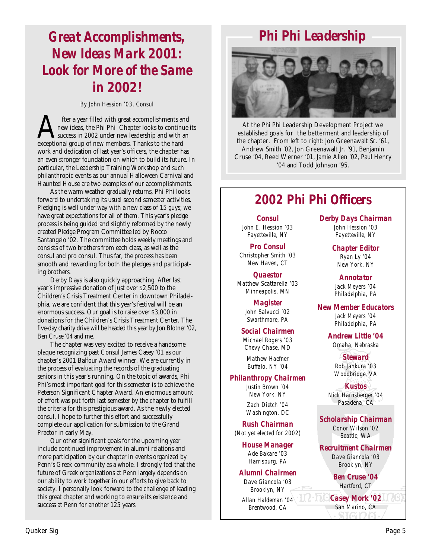## *Great Accomplishments, New Ideas Mark 2001: Look for More of the Same in 2002!*

*By John Hession '03, Consul*

fter a year filled with great accomplishments and<br>new ideas, the Phi Phi Chapter looks to continue<br>success in 2002 under new leadership and with an<br>exceptional group of new members. Thanks to the hard new ideas, the Phi Phi Chapter looks to continue its success in 2002 under new leadership and with an exceptional group of new members. Thanks to the hard work and dedication of last year's officers, the chapter has an even stronger foundation on which to build its future. In particular, the Leadership Training Workshop and such philanthropic events as our annual Halloween Carnival and Haunted House are two examples of our accomplishments.

As the warm weather gradually returns, Phi Phi looks forward to undertaking its usual second semester activities. Pledging is well under way with a new class of 15 guys; we have great expectations for all of them. This year's pledge process is being guided and slightly reformed by the newly created Pledge Program Committee led by Rocco Santangelo '02. The committee holds weekly meetings and consists of two brothers from each class, as well as the consul and pro consul. Thus far, the process has been smooth and rewarding for both the pledges and participating brothers.

Derby Days is also quickly approaching. After last year's impressive donation of just over \$2,500 to the Children's Crisis Treatment Center in downtown Philadelphia, we are confident that this year's festival will be an enormous success. Our goal is to raise over \$3,000 in donations for the Children's Crisis Treatment Center. The five-day charity drive will be headed this year by Jon Blotner '02, Ben Cruse '04 and me.

The chapter was very excited to receive a handsome plaque recognizing past Consul James Casey '01 as our chapter's 2001 Balfour Award winner. We are currently in the process of evaluating the records of the graduating seniors in this year's running. On the topic of awards, Phi Phi's most important goal for this semester is to achieve the Peterson Significant Chapter Award. An enormous amount of effort was put forth last semester by the chapter to fulfill the criteria for this prestigious award. As the newly elected consul, I hope to further this effort and successfully complete our application for submission to the Grand Praetor in early May.

Our other significant goals for the upcoming year include continued improvement in alumni relations and more participation by our chapter in events organized by Penn's Greek community as a whole. I strongly feel that the future of Greek organizations at Penn largely depends on our ability to work together in our efforts to give back to society. I personally look forward to the challenge of leading this great chapter and working to ensure its existence and success at Penn for another 125 years.

# *Phi Phi Leadership*



At the Phi Phi Leadership Development Project we established goals for the betterment and leadership of the chapter. From left to right: Jon Greenawalt Sr. '61, Andrew Smith '02, Jon Greenawalt Jr. '91, Benjamin Cruse '04, Reed Werner '01, Jamie Allen '02, Paul Henry '04 and Todd Johnson '95.

## *2002 Phi Phi Officers*

*Consul John E. Hession '03 Fayetteville, NY*

*Pro Consul Christopher Smith '03 New Haven, CT*

*Quaestor Matthew Scattarella '03 Minneapolis, MN*

> *Magister John Salvucci '02 Swarthmore, PA*

*Social Chairmen*

*Michael Rogers '03 Chevy Chase, MD*

*Mathew Haefner Buffalo, NY '04*

#### *Philanthropy Chairmen*

*Justin Brown '04 New York, NY Zach Dietch '04*

*Washington, DC*

*Rush Chairman (Not yet elected for 2002)*

> *House Manager Ade Bakare '03 Harrisburg, PA*

#### *Alumni Chairmen*

*Dave Giancola '03 Brooklyn, NY*

*Allan Haldeman '04 Brentwood, CA*

*Derby Days Chairman John Hession '03 Fayetteville, NY*

> *Chapter Editor Ryan Ly '04 New York, NY*

*Annotator Jack Meyers '04 Philadelphia, PA*

*New Member Educators Jack Meyers '04 Philadelphia, PA*

> *Andrew Little '04 Omaha, Nebraska*

> > *Steward Rob Jankura '03 Woodbridge, VA*

*Kustos Nick Harnsberger '04 Pasadena, CA*

*Scholarship Chairman Conor Wilson '02 Seattle, WA*

*Recruitment Chairmen Dave Giancola '03 Brooklyn, NY*

> *Ben Cruse '04 Hartford, CT*

*Casey Mork '02 San Marino, CA*